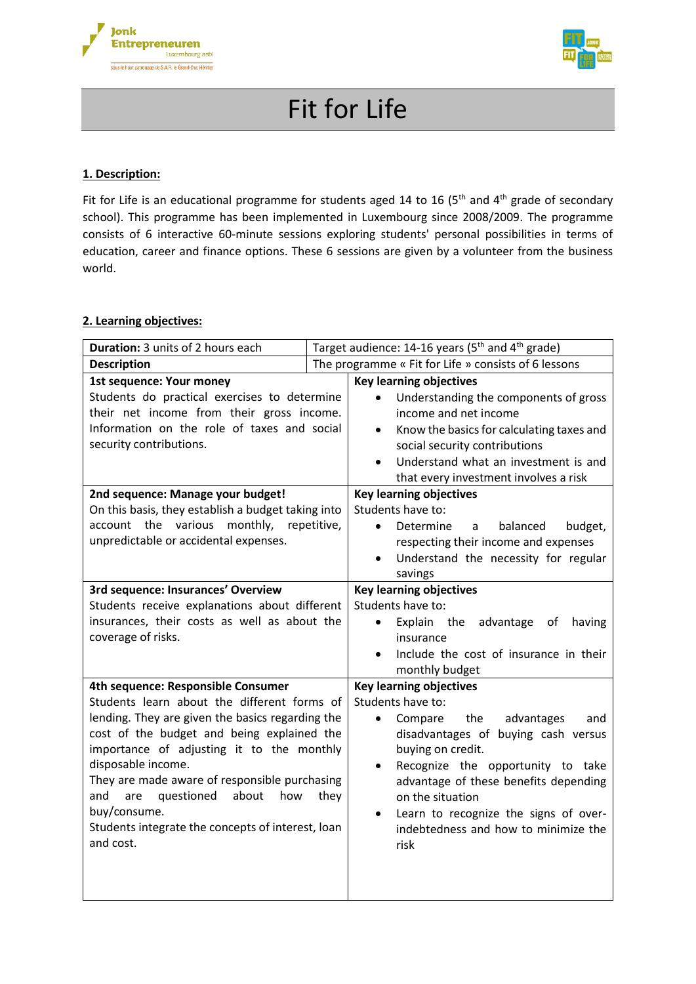



# Fit for Life

### **1. Description:**

Fit for Life is an educational programme for students aged 14 to 16 (5<sup>th</sup> and 4<sup>th</sup> grade of secondary school). This programme has been implemented in Luxembourg since 2008/2009. The programme consists of 6 interactive 60-minute sessions exploring students' personal possibilities in terms of education, career and finance options. These 6 sessions are given by a volunteer from the business world.

#### **2. Learning objectives:**

| Duration: 3 units of 2 hours each                  |      | Target audience: 14-16 years (5 <sup>th</sup> and 4 <sup>th</sup> grade) |
|----------------------------------------------------|------|--------------------------------------------------------------------------|
| <b>Description</b>                                 |      | The programme « Fit for Life » consists of 6 lessons                     |
| 1st sequence: Your money                           |      | <b>Key learning objectives</b>                                           |
| Students do practical exercises to determine       |      | Understanding the components of gross<br>$\bullet$                       |
| their net income from their gross income.          |      | income and net income                                                    |
| Information on the role of taxes and social        |      | Know the basics for calculating taxes and<br>$\bullet$                   |
| security contributions.                            |      | social security contributions                                            |
|                                                    |      | Understand what an investment is and<br>$\bullet$                        |
|                                                    |      | that every investment involves a risk                                    |
| 2nd sequence: Manage your budget!                  |      | <b>Key learning objectives</b>                                           |
| On this basis, they establish a budget taking into |      | Students have to:                                                        |
| account the various monthly, repetitive,           |      | Determine<br>balanced<br>budget,<br>$\bullet$<br>a                       |
| unpredictable or accidental expenses.              |      | respecting their income and expenses                                     |
|                                                    |      | Understand the necessity for regular<br>$\bullet$                        |
|                                                    |      | savings                                                                  |
| 3rd sequence: Insurances' Overview                 |      | <b>Key learning objectives</b>                                           |
| Students receive explanations about different      |      | Students have to:                                                        |
| insurances, their costs as well as about the       |      | Explain the<br>advantage<br>having<br>of<br>$\bullet$                    |
| coverage of risks.                                 |      | insurance                                                                |
|                                                    |      | Include the cost of insurance in their<br>$\bullet$                      |
|                                                    |      | monthly budget                                                           |
| 4th sequence: Responsible Consumer                 |      | <b>Key learning objectives</b>                                           |
| Students learn about the different forms of        |      | Students have to:                                                        |
| lending. They are given the basics regarding the   |      | the<br>Compare<br>advantages<br>$\bullet$<br>and                         |
| cost of the budget and being explained the         |      | disadvantages of buying cash versus                                      |
| importance of adjusting it to the monthly          |      | buying on credit.                                                        |
| disposable income.                                 |      | Recognize the opportunity to take<br>$\bullet$                           |
| They are made aware of responsible purchasing      |      | advantage of these benefits depending                                    |
| questioned<br>about<br>how<br>and<br>are           | they | on the situation                                                         |
| buy/consume.                                       |      | Learn to recognize the signs of over-<br>$\bullet$                       |
| Students integrate the concepts of interest, loan  |      | indebtedness and how to minimize the                                     |
| and cost.                                          |      | risk                                                                     |
|                                                    |      |                                                                          |
|                                                    |      |                                                                          |
|                                                    |      |                                                                          |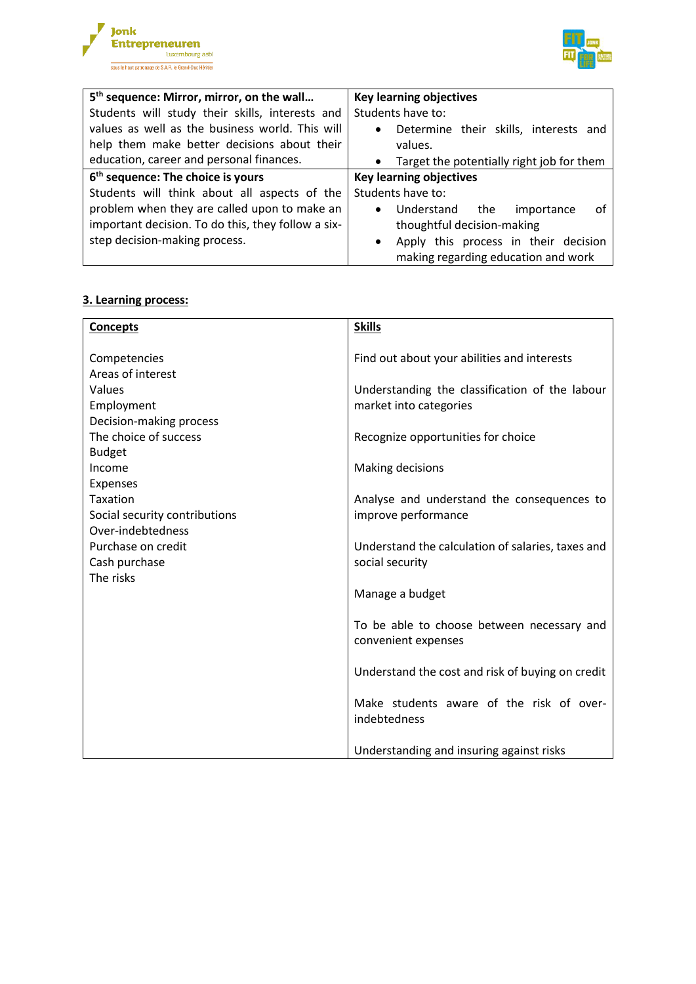



| 5 <sup>th</sup> sequence: Mirror, mirror, on the wall | <b>Key learning objectives</b>                     |
|-------------------------------------------------------|----------------------------------------------------|
| Students will study their skills, interests and       | Students have to:                                  |
| values as well as the business world. This will       | Determine their skills, interests and<br>$\bullet$ |
| help them make better decisions about their           | values.                                            |
| education, career and personal finances.              | • Target the potentially right job for them        |
| 6 <sup>th</sup> sequence: The choice is yours         | <b>Key learning objectives</b>                     |
| Students will think about all aspects of the          | Students have to:                                  |
| problem when they are called upon to make an          | Understand<br>the<br>importance<br>0t<br>$\bullet$ |
| important decision. To do this, they follow a six-    | thoughtful decision-making                         |
| step decision-making process.                         | Apply this process in their decision<br>$\bullet$  |
|                                                       | making regarding education and work                |

#### **3. Learning process:**

| <b>Concepts</b>                                                                                              | <b>Skills</b>                                                            |
|--------------------------------------------------------------------------------------------------------------|--------------------------------------------------------------------------|
| Competencies<br>Areas of interest                                                                            | Find out about your abilities and interests                              |
| Values<br>Employment                                                                                         | Understanding the classification of the labour<br>market into categories |
| Decision-making process<br>The choice of success<br><b>Budget</b>                                            | Recognize opportunities for choice                                       |
| Income<br><b>Expenses</b>                                                                                    | Making decisions                                                         |
| <b>Taxation</b><br>Social security contributions<br>Over-indebtedness<br>Purchase on credit<br>Cash purchase | Analyse and understand the consequences to<br>improve performance        |
|                                                                                                              | Understand the calculation of salaries, taxes and<br>social security     |
| The risks                                                                                                    | Manage a budget                                                          |
|                                                                                                              | To be able to choose between necessary and<br>convenient expenses        |
|                                                                                                              | Understand the cost and risk of buying on credit                         |
|                                                                                                              | Make students aware of the risk of over-<br>indebtedness                 |
|                                                                                                              | Understanding and insuring against risks                                 |